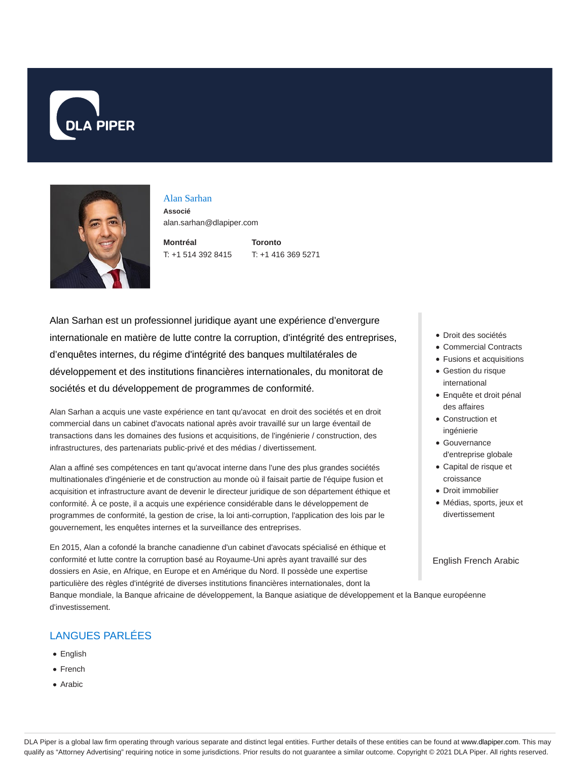



# Alan Sarhan

**Associé** alan.sarhan@dlapiper.com

**Montréal** T: +1 514 392 8415 **Toronto**

T: +1 416 369 5271

Alan Sarhan est un professionnel juridique ayant une expérience d'envergure internationale en matière de lutte contre la corruption, d'intégrité des entreprises, d'enquêtes internes, du régime d'intégrité des banques multilatérales de développement et des institutions financières internationales, du monitorat de sociétés et du développement de programmes de conformité.

Alan Sarhan a acquis une vaste expérience en tant qu'avocat en droit des sociétés et en droit commercial dans un cabinet d'avocats national après avoir travaillé sur un large éventail de transactions dans les domaines des fusions et acquisitions, de l'ingénierie / construction, des infrastructures, des partenariats public-privé et des médias / divertissement.

Alan a affiné ses compétences en tant qu'avocat interne dans l'une des plus grandes sociétés multinationales d'ingénierie et de construction au monde où il faisait partie de l'équipe fusion et acquisition et infrastructure avant de devenir le directeur juridique de son département éthique et conformité. À ce poste, il a acquis une expérience considérable dans le développement de programmes de conformité, la gestion de crise, la loi anti-corruption, l'application des lois par le gouvernement, les enquêtes internes et la surveillance des entreprises.

En 2015, Alan a cofondé la branche canadienne d'un cabinet d'avocats spécialisé en éthique et conformité et lutte contre la corruption basé au Royaume-Uni après ayant travaillé sur des dossiers en Asie, en Afrique, en Europe et en Amérique du Nord. Il possède une expertise particulière des règles d'intégrité de diverses institutions financières internationales, dont la Banque mondiale, la Banque africaine de développement, la Banque asiatique de développement et la Banque européenne d'investissement.

## LANGUES PARLÉES

- English
- French
- Arabic
- Droit des sociétés
- Commercial Contracts
- Fusions et acquisitions
- Gestion du risque international
- Enquête et droit pénal des affaires
- Construction et ingénierie
- Gouvernance d'entreprise globale
- Capital de risque et croissance
- Droit immobilier
- Médias, sports, jeux et divertissement

English French Arabic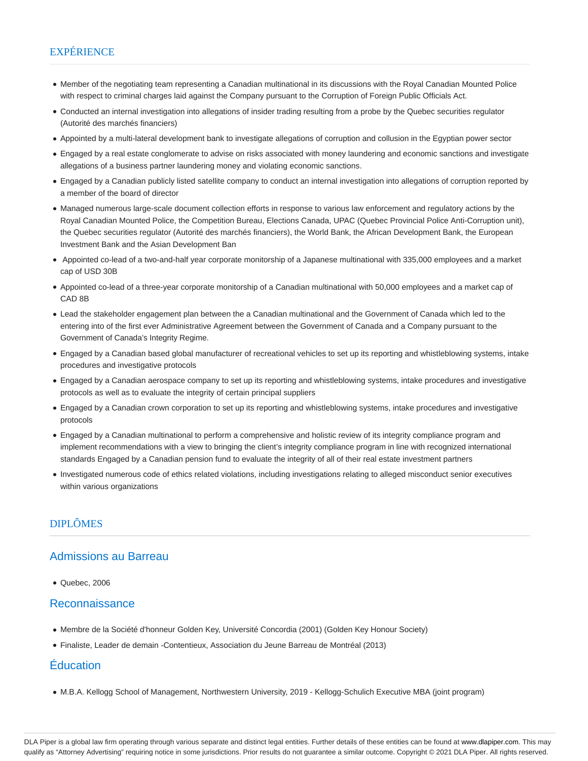## **EXPÉRIENCE**

- Member of the negotiating team representing a Canadian multinational in its discussions with the Royal Canadian Mounted Police with respect to criminal charges laid against the Company pursuant to the Corruption of Foreign Public Officials Act.
- Conducted an internal investigation into allegations of insider trading resulting from a probe by the Quebec securities regulator (Autorité des marchés financiers)
- Appointed by a multi-lateral development bank to investigate allegations of corruption and collusion in the Egyptian power sector
- Engaged by a real estate conglomerate to advise on risks associated with money laundering and economic sanctions and investigate allegations of a business partner laundering money and violating economic sanctions.
- Engaged by a Canadian publicly listed satellite company to conduct an internal investigation into allegations of corruption reported by a member of the board of director
- Managed numerous large-scale document collection efforts in response to various law enforcement and regulatory actions by the Royal Canadian Mounted Police, the Competition Bureau, Elections Canada, UPAC (Quebec Provincial Police Anti-Corruption unit), the Quebec securities regulator (Autorité des marchés financiers), the World Bank, the African Development Bank, the European Investment Bank and the Asian Development Ban
- Appointed co-lead of a two-and-half year corporate monitorship of a Japanese multinational with 335,000 employees and a market cap of USD 30B
- Appointed co-lead of a three-year corporate monitorship of a Canadian multinational with 50,000 employees and a market cap of CAD 8B
- Lead the stakeholder engagement plan between the a Canadian multinational and the Government of Canada which led to the entering into of the first ever Administrative Agreement between the Government of Canada and a Company pursuant to the Government of Canada's Integrity Regime.
- Engaged by a Canadian based global manufacturer of recreational vehicles to set up its reporting and whistleblowing systems, intake procedures and investigative protocols
- Engaged by a Canadian aerospace company to set up its reporting and whistleblowing systems, intake procedures and investigative protocols as well as to evaluate the integrity of certain principal suppliers
- Engaged by a Canadian crown corporation to set up its reporting and whistleblowing systems, intake procedures and investigative protocols
- Engaged by a Canadian multinational to perform a comprehensive and holistic review of its integrity compliance program and implement recommendations with a view to bringing the client's integrity compliance program in line with recognized international standards Engaged by a Canadian pension fund to evaluate the integrity of all of their real estate investment partners
- Investigated numerous code of ethics related violations, including investigations relating to alleged misconduct senior executives within various organizations

## DIPLÔMES

#### Admissions au Barreau

Quebec, 2006

#### Reconnaissance

- Membre de la Société d'honneur Golden Key, Université Concordia (2001) (Golden Key Honour Society)
- Finaliste, Leader de demain -Contentieux, Association du Jeune Barreau de Montréal (2013)

#### Éducation

M.B.A. Kellogg School of Management, Northwestern University, 2019 - Kellogg-Schulich Executive MBA (joint program)

DLA Piper is a global law firm operating through various separate and distinct legal entities. Further details of these entities can be found at www.dlapiper.com. This may qualify as "Attorney Advertising" requiring notice in some jurisdictions. Prior results do not guarantee a similar outcome. Copyright @ 2021 DLA Piper. All rights reserved.